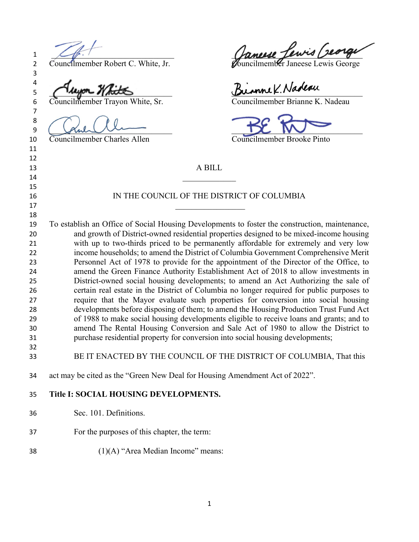2 Councilmember Robert C. White, Jr. Councilmember Janeese Lewis George

5 Augon White Birnne K. Nadeau

Councilmember Charles Allen Councilmember Brooke Pinto

 $1 \leq \ell \leq 1$  anexe Iews Deorge

Councilmember Trayon White, Sr. Councilmember Brianne K. Nadeau

 $9 \ ($  function  $\mathcal{D}$ 

A BILL

## 16 IN THE COUNCIL OF THE DISTRICT OF COLUMBIA

To establish an Office of Social Housing Developments to foster the construction, maintenance, and growth of District-owned residential properties designed to be mixed-income housing with up to two-thirds priced to be permanently affordable for extremely and very low income households; to amend the District of Columbia Government Comprehensive Merit Personnel Act of 1978 to provide for the appointment of the Director of the Office, to amend the Green Finance Authority Establishment Act of 2018 to allow investments in District-owned social housing developments; to amend an Act Authorizing the sale of certain real estate in the District of Columbia no longer required for public purposes to require that the Mayor evaluate such properties for conversion into social housing developments before disposing of them; to amend the Housing Production Trust Fund Act of 1988 to make social housing developments eligible to receive loans and grants; and to amend The Rental Housing Conversion and Sale Act of 1980 to allow the District to purchase residential property for conversion into social housing developments; 

BE IT ENACTED BY THE COUNCIL OF THE DISTRICT OF COLUMBIA, That this

act may be cited as the "Green New Deal for Housing Amendment Act of 2022".

## Title I: SOCIAL HOUSING DEVELOPMENTS.

- Sec. 101. Definitions.
- For the purposes of this chapter, the term:
- (1)(A) "Area Median Income" means: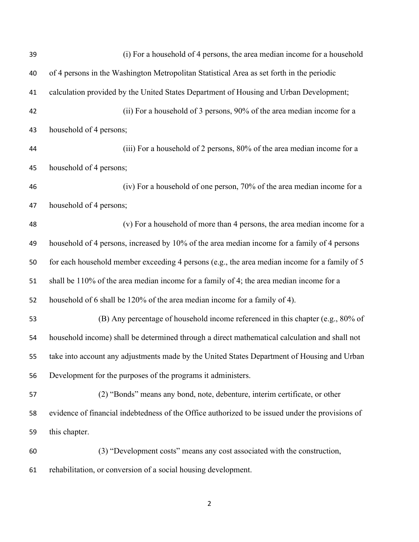| 39 | (i) For a household of 4 persons, the area median income for a household                         |
|----|--------------------------------------------------------------------------------------------------|
| 40 | of 4 persons in the Washington Metropolitan Statistical Area as set forth in the periodic        |
| 41 | calculation provided by the United States Department of Housing and Urban Development;           |
| 42 | (ii) For a household of 3 persons, 90% of the area median income for a                           |
| 43 | household of 4 persons;                                                                          |
| 44 | (iii) For a household of 2 persons, 80% of the area median income for a                          |
| 45 | household of 4 persons;                                                                          |
| 46 | (iv) For a household of one person, 70% of the area median income for a                          |
| 47 | household of 4 persons;                                                                          |
| 48 | (v) For a household of more than 4 persons, the area median income for a                         |
| 49 | household of 4 persons, increased by 10% of the area median income for a family of 4 persons     |
| 50 | for each household member exceeding 4 persons (e.g., the area median income for a family of 5    |
| 51 | shall be 110% of the area median income for a family of 4; the area median income for a          |
| 52 | household of 6 shall be 120% of the area median income for a family of 4).                       |
| 53 | (B) Any percentage of household income referenced in this chapter (e.g., 80% of                  |
| 54 | household income) shall be determined through a direct mathematical calculation and shall not    |
| 55 | take into account any adjustments made by the United States Department of Housing and Urban      |
| 56 | Development for the purposes of the programs it administers.                                     |
| 57 | (2) "Bonds" means any bond, note, debenture, interim certificate, or other                       |
| 58 | evidence of financial indebtedness of the Office authorized to be issued under the provisions of |
| 59 | this chapter.                                                                                    |
| 60 | (3) "Development costs" means any cost associated with the construction,                         |
| 61 | rehabilitation, or conversion of a social housing development.                                   |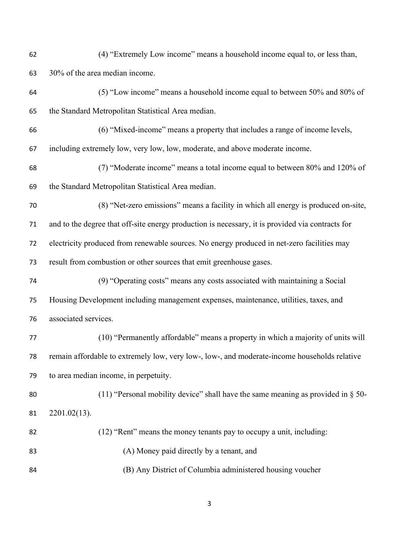| 62 | (4) "Extremely Low income" means a household income equal to, or less than,                      |
|----|--------------------------------------------------------------------------------------------------|
| 63 | 30% of the area median income.                                                                   |
| 64 | (5) "Low income" means a household income equal to between 50% and 80% of                        |
| 65 | the Standard Metropolitan Statistical Area median.                                               |
| 66 | (6) "Mixed-income" means a property that includes a range of income levels,                      |
| 67 | including extremely low, very low, low, moderate, and above moderate income.                     |
| 68 | (7) "Moderate income" means a total income equal to between 80% and 120% of                      |
| 69 | the Standard Metropolitan Statistical Area median.                                               |
| 70 | (8) "Net-zero emissions" means a facility in which all energy is produced on-site,               |
| 71 | and to the degree that off-site energy production is necessary, it is provided via contracts for |
| 72 | electricity produced from renewable sources. No energy produced in net-zero facilities may       |
| 73 | result from combustion or other sources that emit greenhouse gases.                              |
| 74 | (9) "Operating costs" means any costs associated with maintaining a Social                       |
| 75 | Housing Development including management expenses, maintenance, utilities, taxes, and            |
| 76 | associated services.                                                                             |
| 77 | (10) "Permanently affordable" means a property in which a majority of units will                 |
| 78 | remain affordable to extremely low, very low-, low-, and moderate-income households relative     |
| 79 | to area median income, in perpetuity.                                                            |
| 80 | (11) "Personal mobility device" shall have the same meaning as provided in $\S$ 50-              |
| 81 | $2201.02(13)$ .                                                                                  |
| 82 | (12) "Rent" means the money tenants pay to occupy a unit, including:                             |
| 83 | (A) Money paid directly by a tenant, and                                                         |
| 84 | (B) Any District of Columbia administered housing voucher                                        |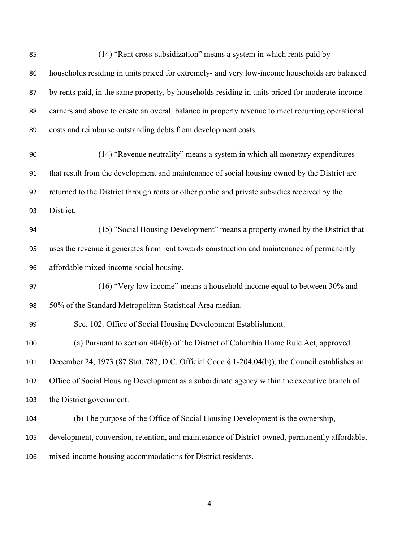| 85  | (14) "Rent cross-subsidization" means a system in which rents paid by                            |
|-----|--------------------------------------------------------------------------------------------------|
| 86  | households residing in units priced for extremely- and very low-income households are balanced   |
| 87  | by rents paid, in the same property, by households residing in units priced for moderate-income  |
| 88  | earners and above to create an overall balance in property revenue to meet recurring operational |
| 89  | costs and reimburse outstanding debts from development costs.                                    |
| 90  | (14) "Revenue neutrality" means a system in which all monetary expenditures                      |
| 91  | that result from the development and maintenance of social housing owned by the District are     |
| 92  | returned to the District through rents or other public and private subsidies received by the     |
| 93  | District.                                                                                        |
| 94  | (15) "Social Housing Development" means a property owned by the District that                    |
| 95  | uses the revenue it generates from rent towards construction and maintenance of permanently      |
| 96  | affordable mixed-income social housing.                                                          |
| 97  | (16) "Very low income" means a household income equal to between 30% and                         |
| 98  | 50% of the Standard Metropolitan Statistical Area median.                                        |
| 99  | Sec. 102. Office of Social Housing Development Establishment.                                    |
| 100 | (a) Pursuant to section 404(b) of the District of Columbia Home Rule Act, approved               |
| 101 | December 24, 1973 (87 Stat. 787; D.C. Official Code § 1-204.04(b)), the Council establishes an   |
| 102 | Office of Social Housing Development as a subordinate agency within the executive branch of      |
| 103 | the District government.                                                                         |
| 104 | (b) The purpose of the Office of Social Housing Development is the ownership,                    |
| 105 | development, conversion, retention, and maintenance of District-owned, permanently affordable,   |
| 106 | mixed-income housing accommodations for District residents.                                      |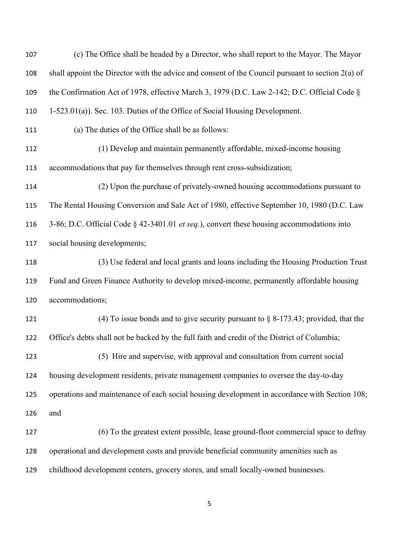| 107 | (c) The Office shall be headed by a Director, who shall report to the Mayor. The Mayor              |
|-----|-----------------------------------------------------------------------------------------------------|
| 108 | shall appoint the Director with the advice and consent of the Council pursuant to section $2(a)$ of |
| 109 | the Confirmation Act of 1978, effective March 3, 1979 (D.C. Law 2-142; D.C. Official Code §         |
| 110 | 1-523.01(a)). Sec. 103. Duties of the Office of Social Housing Development.                         |
| 111 | (a) The duties of the Office shall be as follows:                                                   |
| 112 | (1) Develop and maintain permanently affordable, mixed-income housing                               |
| 113 | accommodations that pay for themselves through rent cross-subsidization;                            |
| 114 | (2) Upon the purchase of privately-owned housing accommodations pursuant to                         |
| 115 | The Rental Housing Conversion and Sale Act of 1980, effective September 10, 1980 (D.C. Law          |
| 116 | 3-86; D.C. Official Code § 42-3401.01 et seq.), convert these housing accommodations into           |
| 117 | social housing developments;                                                                        |
| 118 | (3) Use federal and local grants and loans including the Housing Production Trust                   |
| 119 | Fund and Green Finance Authority to develop mixed-income, permanently affordable housing            |
| 120 | accommodations;                                                                                     |
| 121 | (4) To issue bonds and to give security pursuant to $\S$ 8-173.43; provided, that the               |
| 122 | Office's debts shall not be backed by the full faith and credit of the District of Columbia;        |
| 123 | (5) Hire and supervise, with approval and consultation from current social                          |
| 124 | housing development residents, private management companies to oversee the day-to-day               |
| 125 | operations and maintenance of each social housing development in accordance with Section 108;       |
| 126 | and                                                                                                 |
| 127 | (6) To the greatest extent possible, lease ground-floor commercial space to defray                  |
| 128 | operational and development costs and provide beneficial community amenities such as                |
| 129 | childhood development centers, grocery stores, and small locally-owned businesses.                  |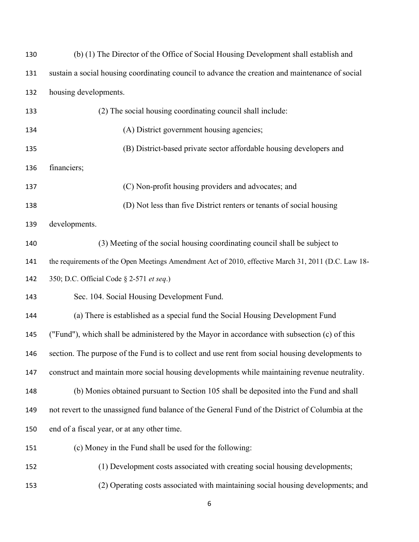| 130 | (b) (1) The Director of the Office of Social Housing Development shall establish and                |
|-----|-----------------------------------------------------------------------------------------------------|
| 131 | sustain a social housing coordinating council to advance the creation and maintenance of social     |
| 132 | housing developments.                                                                               |
| 133 | (2) The social housing coordinating council shall include:                                          |
| 134 | (A) District government housing agencies;                                                           |
| 135 | (B) District-based private sector affordable housing developers and                                 |
| 136 | financiers;                                                                                         |
| 137 | (C) Non-profit housing providers and advocates; and                                                 |
| 138 | (D) Not less than five District renters or tenants of social housing                                |
| 139 | developments.                                                                                       |
| 140 | (3) Meeting of the social housing coordinating council shall be subject to                          |
| 141 | the requirements of the Open Meetings Amendment Act of 2010, effective March 31, 2011 (D.C. Law 18- |
| 142 | 350; D.C. Official Code § 2-571 et seq.)                                                            |
| 143 | Sec. 104. Social Housing Development Fund.                                                          |
| 144 | (a) There is established as a special fund the Social Housing Development Fund                      |
| 145 | ("Fund"), which shall be administered by the Mayor in accordance with subsection (c) of this        |
| 146 | section. The purpose of the Fund is to collect and use rent from social housing developments to     |
| 147 | construct and maintain more social housing developments while maintaining revenue neutrality.       |
| 148 | (b) Monies obtained pursuant to Section 105 shall be deposited into the Fund and shall              |
| 149 | not revert to the unassigned fund balance of the General Fund of the District of Columbia at the    |
| 150 | end of a fiscal year, or at any other time.                                                         |
| 151 | (c) Money in the Fund shall be used for the following:                                              |
| 152 | (1) Development costs associated with creating social housing developments;                         |
| 153 | (2) Operating costs associated with maintaining social housing developments; and                    |
|     |                                                                                                     |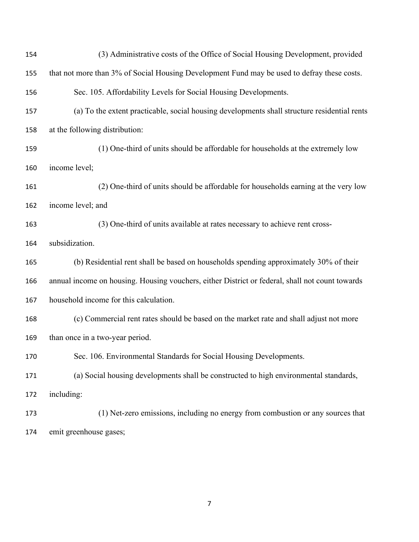| 154 | (3) Administrative costs of the Office of Social Housing Development, provided                  |
|-----|-------------------------------------------------------------------------------------------------|
| 155 | that not more than 3% of Social Housing Development Fund may be used to defray these costs.     |
| 156 | Sec. 105. Affordability Levels for Social Housing Developments.                                 |
| 157 | (a) To the extent practicable, social housing developments shall structure residential rents    |
| 158 | at the following distribution:                                                                  |
| 159 | (1) One-third of units should be affordable for households at the extremely low                 |
| 160 | income level;                                                                                   |
| 161 | (2) One-third of units should be affordable for households earning at the very low              |
| 162 | income level; and                                                                               |
| 163 | (3) One-third of units available at rates necessary to achieve rent cross-                      |
| 164 | subsidization.                                                                                  |
| 165 | (b) Residential rent shall be based on households spending approximately 30% of their           |
| 166 | annual income on housing. Housing vouchers, either District or federal, shall not count towards |
| 167 | household income for this calculation.                                                          |
| 168 | (c) Commercial rent rates should be based on the market rate and shall adjust not more          |
| 169 | than once in a two-year period.                                                                 |
| 170 | Sec. 106. Environmental Standards for Social Housing Developments.                              |
| 171 | (a) Social housing developments shall be constructed to high environmental standards,           |
| 172 | including:                                                                                      |
| 173 | (1) Net-zero emissions, including no energy from combustion or any sources that                 |
| 174 | emit greenhouse gases;                                                                          |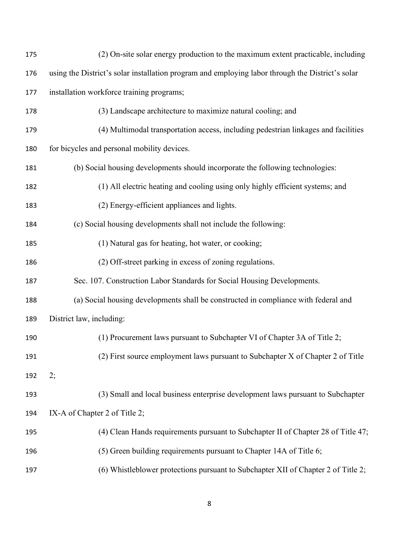| 175 | (2) On-site solar energy production to the maximum extent practicable, including                 |
|-----|--------------------------------------------------------------------------------------------------|
| 176 | using the District's solar installation program and employing labor through the District's solar |
| 177 | installation workforce training programs;                                                        |
| 178 | (3) Landscape architecture to maximize natural cooling; and                                      |
| 179 | (4) Multimodal transportation access, including pedestrian linkages and facilities               |
| 180 | for bicycles and personal mobility devices.                                                      |
| 181 | (b) Social housing developments should incorporate the following technologies:                   |
| 182 | (1) All electric heating and cooling using only highly efficient systems; and                    |
| 183 | (2) Energy-efficient appliances and lights.                                                      |
| 184 | (c) Social housing developments shall not include the following:                                 |
| 185 | (1) Natural gas for heating, hot water, or cooking;                                              |
| 186 | (2) Off-street parking in excess of zoning regulations.                                          |
| 187 | Sec. 107. Construction Labor Standards for Social Housing Developments.                          |
| 188 | (a) Social housing developments shall be constructed in compliance with federal and              |
| 189 | District law, including:                                                                         |
| 190 | (1) Procurement laws pursuant to Subchapter VI of Chapter 3A of Title 2;                         |
| 191 | (2) First source employment laws pursuant to Subchapter X of Chapter 2 of Title                  |
| 192 | 2;                                                                                               |
| 193 | (3) Small and local business enterprise development laws pursuant to Subchapter                  |
| 194 | IX-A of Chapter 2 of Title 2;                                                                    |
| 195 | (4) Clean Hands requirements pursuant to Subchapter II of Chapter 28 of Title 47;                |
| 196 | (5) Green building requirements pursuant to Chapter 14A of Title 6;                              |
| 197 | (6) Whistleblower protections pursuant to Subchapter XII of Chapter 2 of Title 2;                |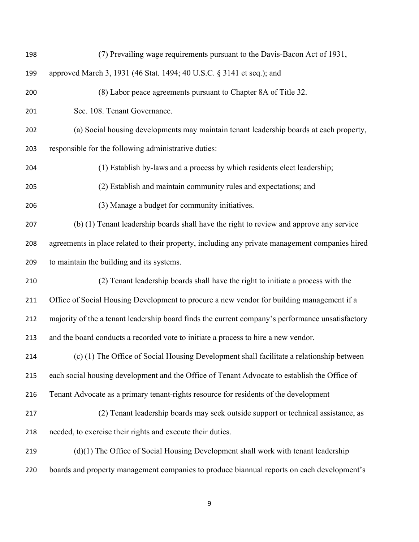| 198 | (7) Prevailing wage requirements pursuant to the Davis-Bacon Act of 1931,                        |
|-----|--------------------------------------------------------------------------------------------------|
| 199 | approved March 3, 1931 (46 Stat. 1494; 40 U.S.C. § 3141 et seq.); and                            |
| 200 | (8) Labor peace agreements pursuant to Chapter 8A of Title 32.                                   |
| 201 | Sec. 108. Tenant Governance.                                                                     |
| 202 | (a) Social housing developments may maintain tenant leadership boards at each property,          |
| 203 | responsible for the following administrative duties:                                             |
| 204 | (1) Establish by-laws and a process by which residents elect leadership;                         |
| 205 | (2) Establish and maintain community rules and expectations; and                                 |
| 206 | (3) Manage a budget for community initiatives.                                                   |
| 207 | (b) (1) Tenant leadership boards shall have the right to review and approve any service          |
| 208 | agreements in place related to their property, including any private management companies hired  |
| 209 | to maintain the building and its systems.                                                        |
| 210 | (2) Tenant leadership boards shall have the right to initiate a process with the                 |
| 211 | Office of Social Housing Development to procure a new vendor for building management if a        |
| 212 | majority of the a tenant leadership board finds the current company's performance unsatisfactory |
| 213 | and the board conducts a recorded vote to initiate a process to hire a new vendor.               |
| 214 | $(c)$ (1) The Office of Social Housing Development shall facilitate a relationship between       |
| 215 | each social housing development and the Office of Tenant Advocate to establish the Office of     |
| 216 | Tenant Advocate as a primary tenant-rights resource for residents of the development             |
| 217 | (2) Tenant leadership boards may seek outside support or technical assistance, as                |
| 218 | needed, to exercise their rights and execute their duties.                                       |
| 219 | (d)(1) The Office of Social Housing Development shall work with tenant leadership                |
| 220 | boards and property management companies to produce biannual reports on each development's       |
|     |                                                                                                  |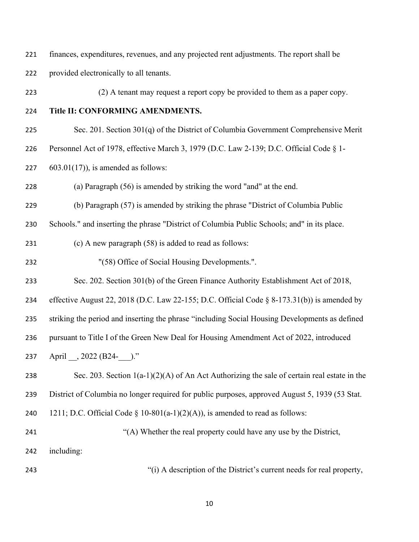finances, expenditures, revenues, and any projected rent adjustments. The report shall be

provided electronically to all tenants.

(2) A tenant may request a report copy be provided to them as a paper copy.

- Title II: CONFORMING AMENDMENTS.
- Sec. 201. Section 301(q) of the District of Columbia Government Comprehensive Merit
- Personnel Act of 1978, effective March 3, 1979 (D.C. Law 2-139; D.C. Official Code § 1-
- 227  $603.01(17)$ , is amended as follows:

(a) Paragraph (56) is amended by striking the word "and" at the end.

(b) Paragraph (57) is amended by striking the phrase "District of Columbia Public

Schools." and inserting the phrase "District of Columbia Public Schools; and" in its place.

(c) A new paragraph (58) is added to read as follows:

"(58) Office of Social Housing Developments.".

Sec. 202. Section 301(b) of the Green Finance Authority Establishment Act of 2018,

effective August 22, 2018 (D.C. Law 22-155; D.C. Official Code § 8-173.31(b)) is amended by

striking the period and inserting the phrase "including Social Housing Developments as defined

pursuant to Title I of the Green New Deal for Housing Amendment Act of 2022, introduced

237 April , 2022 (B24-)."

238 Sec. 203. Section  $1(a-1)(2)(A)$  of An Act Authorizing the sale of certain real estate in the District of Columbia no longer required for public purposes, approved August 5, 1939 (53 Stat.

240 1211; D.C. Official Code  $\S$  10-801(a-1)(2)(A)), is amended to read as follows:

"(A) Whether the real property could have any use by the District, including:

"(i) A description of the District's current needs for real property,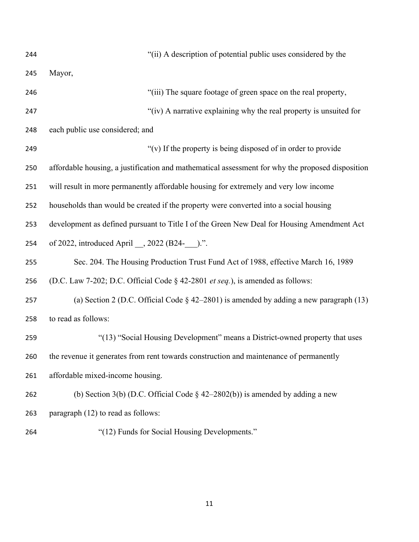| 244 | "(ii) A description of potential public uses considered by the                                   |
|-----|--------------------------------------------------------------------------------------------------|
| 245 | Mayor,                                                                                           |
| 246 | "(iii) The square footage of green space on the real property,                                   |
| 247 | "(iv) A narrative explaining why the real property is unsuited for                               |
| 248 | each public use considered; and                                                                  |
| 249 | "(v) If the property is being disposed of in order to provide                                    |
| 250 | affordable housing, a justification and mathematical assessment for why the proposed disposition |
| 251 | will result in more permanently affordable housing for extremely and very low income             |
| 252 | households than would be created if the property were converted into a social housing            |
| 253 | development as defined pursuant to Title I of the Green New Deal for Housing Amendment Act       |
| 254 |                                                                                                  |
| 255 | Sec. 204. The Housing Production Trust Fund Act of 1988, effective March 16, 1989                |
| 256 | (D.C. Law 7-202; D.C. Official Code § 42-2801 et seq.), is amended as follows:                   |
| 257 | (a) Section 2 (D.C. Official Code $\S$ 42–2801) is amended by adding a new paragraph (13)        |
| 258 | to read as follows:                                                                              |
| 259 | "(13) "Social Housing Development" means a District-owned property that uses                     |
| 260 | the revenue it generates from rent towards construction and maintenance of permanently           |
| 261 | affordable mixed-income housing.                                                                 |
| 262 | (b) Section 3(b) (D.C. Official Code $\S$ 42–2802(b)) is amended by adding a new                 |
| 263 | paragraph (12) to read as follows:                                                               |
| 264 | "(12) Funds for Social Housing Developments."                                                    |